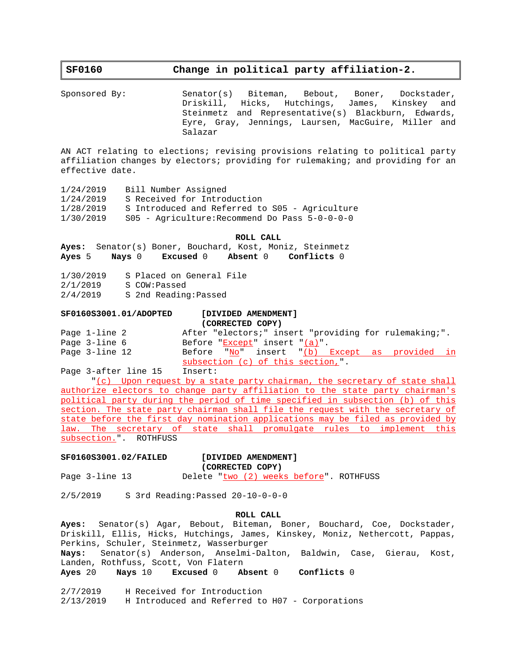## **SF0160 Change in political party affiliation-2.** Sponsored By: Senator(s) Biteman, Bebout, Boner, Dockstader, Driskill, Hicks, Hutchings, James, Kinskey and Steinmetz and Representative(s) Blackburn, Edwards, Eyre, Gray, Jennings, Laursen, MacGuire, Miller and Salazar AN ACT relating to elections; revising provisions relating to political party affiliation changes by electors; providing for rulemaking; and providing for an effective date. 1/24/2019 Bill Number Assigned 1/24/2019 S Received for Introduction 1/28/2019 S Introduced and Referred to S05 - Agriculture 1/30/2019 S05 - Agriculture:Recommend Do Pass 5-0-0-0-0 **ROLL CALL Ayes:** Senator(s) Boner, Bouchard, Kost, Moniz, Steinmetz **Ayes** 5 **Nays** 0 **Excused** 0 **Absent** 0 **Conflicts** 0 1/30/2019 S Placed on General File 2/1/2019 S COW:Passed 2/4/2019 S 2nd Reading:Passed **SF0160S3001.01/ADOPTED [DIVIDED AMENDMENT] (CORRECTED COPY)** Page 1-line 2 **After "electors;"** insert "providing for rulemaking;". Page 3-line 6 Before "<u>Except</u>" insert "<u>(a)</u>". Page 3-line 12 Before "<u>No</u>" insert "<u>(b) Except as provided in</u> subsection (c) of this section,". Page 3-after line 15 Insert: "(c) Upon request by a state party chairman, the secretary of state shall authorize electors to change party affiliation to the state party chairman's political party during the period of time specified in subsection (b) of this section. The state party chairman shall file the request with the secretary of state before the first day nomination applications may be filed as provided by law. The secretary of state shall promulgate rules to implement this subsection.". ROTHFUSS **SF0160S3001.02/FAILED [DIVIDED AMENDMENT] (CORRECTED COPY)** Page 3-line 13 Delete "two (2) weeks before". ROTHFUSS 2/5/2019 S 3rd Reading:Passed 20-10-0-0-0 **ROLL CALL Ayes:** Senator(s) Agar, Bebout, Biteman, Boner, Bouchard, Coe, Dockstader, Driskill, Ellis, Hicks, Hutchings, James, Kinskey, Moniz, Nethercott, Pappas, Perkins, Schuler, Steinmetz, Wasserburger **Nays:** Senator(s) Anderson, Anselmi-Dalton, Baldwin, Case, Gierau, Kost, Landen, Rothfuss, Scott, Von Flatern **Ayes** 20 **Nays** 10 **Excused** 0 **Absent** 0 **Conflicts** 0 2/7/2019 H Received for Introduction 2/13/2019 H Introduced and Referred to H07 - Corporations